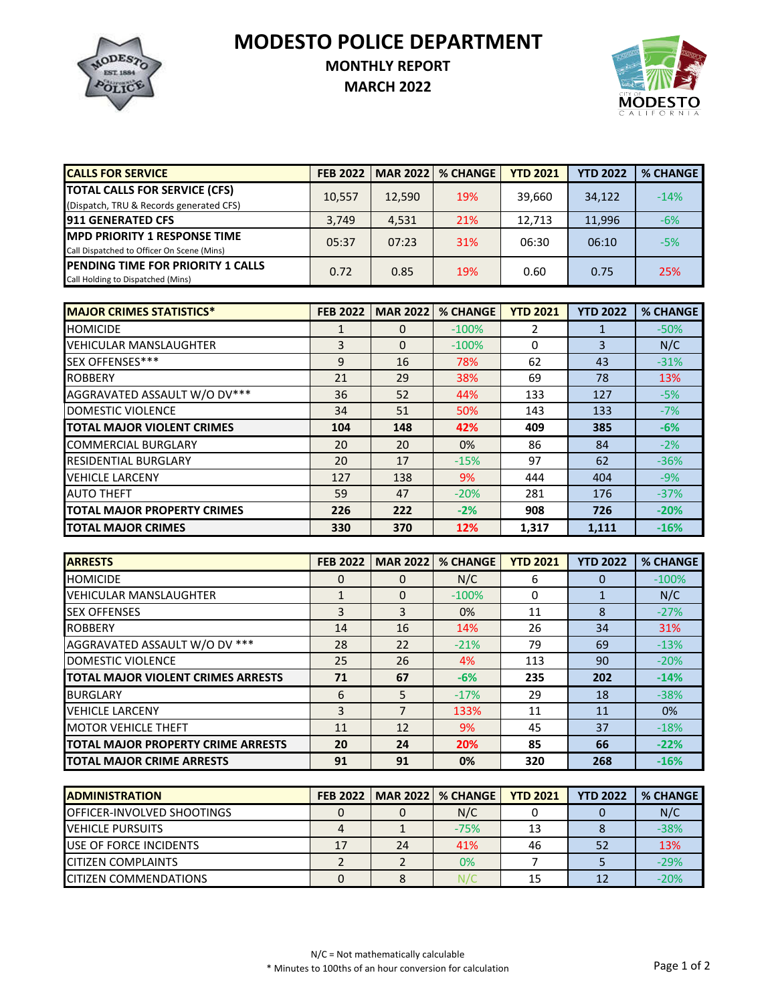**MODESTO POLICE DEPARTMENT**



## **MONTHLY REPORT**

**MARCH 2022**



| <b>CALLS FOR SERVICE</b>                                                           | <b>FEB 2022</b> | <b>MAR 20221</b> | % CHANGE | <b>YTD 2021</b> | <b>YTD 2022</b> | <b>% CHANGE</b> |
|------------------------------------------------------------------------------------|-----------------|------------------|----------|-----------------|-----------------|-----------------|
| <b>TOTAL CALLS FOR SERVICE (CFS)</b><br>(Dispatch, TRU & Records generated CFS)    | 10,557          | 12,590           | 19%      | 39.660          | 34,122          | $-14%$          |
| <b>911 GENERATED CFS</b>                                                           | 3.749           | 4,531            | 21%      | 12.713          | 11,996          | $-6%$           |
| <b>IMPD PRIORITY 1 RESPONSE TIME</b><br>Call Dispatched to Officer On Scene (Mins) | 05:37           | 07:23            | 31%      | 06:30           | 06:10           | $-5%$           |
| <b>IPENDING TIME FOR PRIORITY 1 CALLS</b><br>Call Holding to Dispatched (Mins)     | 0.72            | 0.85             | 19%      | 0.60            | 0.75            | 25%             |

| <b>MAJOR CRIMES STATISTICS*</b>    | <b>FEB 2022</b> | <b>MAR 2022</b> | <b>% CHANGE</b> | <b>YTD 2021</b> | <b>YTD 2022</b> | <b>% CHANGE</b> |
|------------------------------------|-----------------|-----------------|-----------------|-----------------|-----------------|-----------------|
| <b>HOMICIDE</b>                    | 1               | 0               | $-100%$         | 2               |                 | $-50%$          |
| <b>VEHICULAR MANSLAUGHTER</b>      | 3               | $\Omega$        | $-100%$         | 0               | 3               | N/C             |
| SEX OFFENSES***                    | 9               | 16              | 78%             | 62              | 43              | $-31%$          |
| <b>ROBBERY</b>                     | 21              | 29              | 38%             | 69              | 78              | 13%             |
| AGGRAVATED ASSAULT W/O DV***       | 36              | 52              | 44%             | 133             | 127             | $-5%$           |
| DOMESTIC VIOLENCE                  | 34              | 51              | 50%             | 143             | 133             | $-7%$           |
| <b>TOTAL MAJOR VIOLENT CRIMES</b>  | 104             | 148             | 42%             | 409             | 385             | $-6%$           |
| <b>COMMERCIAL BURGLARY</b>         | 20              | 20              | 0%              | 86              | 84              | $-2%$           |
| <b>RESIDENTIAL BURGLARY</b>        | 20              | 17              | $-15%$          | 97              | 62              | $-36%$          |
| <b>VEHICLE LARCENY</b>             | 127             | 138             | 9%              | 444             | 404             | $-9%$           |
| <b>AUTO THEFT</b>                  | 59              | 47              | $-20%$          | 281             | 176             | $-37%$          |
| <b>TOTAL MAJOR PROPERTY CRIMES</b> | 226             | 222             | $-2%$           | 908             | 726             | $-20%$          |
| <b>TOTAL MAJOR CRIMES</b>          | 330             | 370             | 12%             | 1,317           | 1,111           | $-16%$          |

| <b>ARRESTS</b>                     | <b>FEB 2022</b> | <b>MAR 2022</b> | <b>% CHANGE</b> | <b>YTD 2021</b> | <b>YTD 2022</b> | <b>% CHANGE</b> |
|------------------------------------|-----------------|-----------------|-----------------|-----------------|-----------------|-----------------|
| <b>HOMICIDE</b>                    | 0               | 0               | N/C             | 6               |                 | $-100%$         |
| <b>VEHICULAR MANSLAUGHTER</b>      |                 | $\Omega$        | $-100%$         | 0               |                 | N/C             |
| <b>SEX OFFENSES</b>                | 3               | 3               | $0\%$           | 11              | 8               | $-27%$          |
| <b>ROBBERY</b>                     | 14              | 16              | 14%             | 26              | 34              | 31%             |
| AGGRAVATED ASSAULT W/O DV ***      | 28              | 22              | $-21%$          | 79              | 69              | $-13%$          |
| DOMESTIC VIOLENCE                  | 25              | 26              | 4%              | 113             | 90              | $-20%$          |
| TOTAL MAJOR VIOLENT CRIMES ARRESTS | 71              | 67              | $-6%$           | 235             | 202             | $-14%$          |
| <b>BURGLARY</b>                    | 6               | 5               | $-17%$          | 29              | 18              | $-38%$          |
| <b>VEHICLE LARCENY</b>             | 3               |                 | 133%            | 11              | 11              | 0%              |
| <b>MOTOR VEHICLE THEFT</b>         | 11              | 12              | 9%              | 45              | 37              | $-18%$          |
| TOTAL MAJOR PROPERTY CRIME ARRESTS | 20              | 24              | 20%             | 85              | 66              | $-22%$          |
| <b>TOTAL MAJOR CRIME ARRESTS</b>   | 91              | 91              | 0%              | 320             | 268             | $-16%$          |

| <b>IADMINISTRATION</b>             | FEB 2022 |    | MAR 2022   % CHANGE | <b>YTD 2021</b> | <b>YTD 2022</b> | % CHANGE |
|------------------------------------|----------|----|---------------------|-----------------|-----------------|----------|
| <b>IOFFICER-INVOLVED SHOOTINGS</b> |          |    | N/C                 |                 |                 | N/C      |
| VEHICLE PURSUITS                   |          |    | $-75%$              |                 |                 | $-38%$   |
| <b>IUSE OF FORCE INCIDENTS</b>     | 17       | 24 | 41%                 | 46              |                 | 13%      |
| <b>CITIZEN COMPLAINTS</b>          |          |    | 0%                  |                 |                 | $-29%$   |
| <b>ICITIZEN COMMENDATIONS</b>      |          |    |                     |                 |                 | $-20%$   |